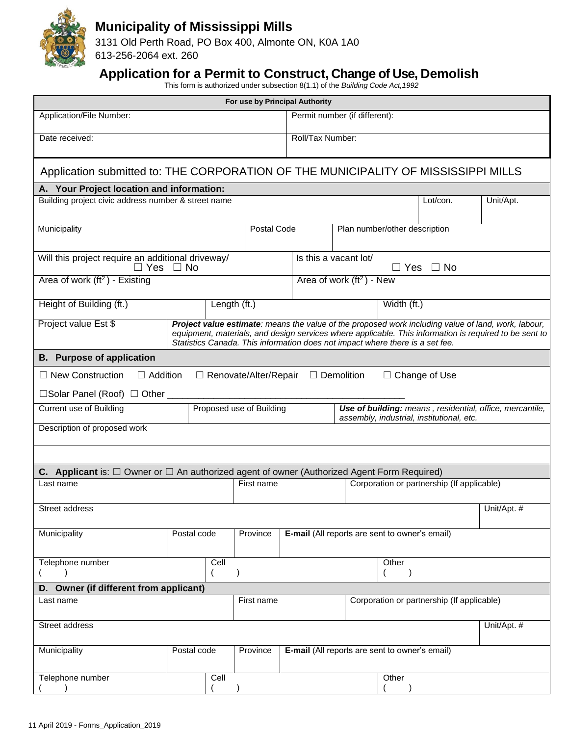

## **Municipality of Mississippi Mills**

3131 Old Perth Road, PO Box 400, Almonte ON, K0A 1A0 613-256-2064 ext. 260

## **Application for a Permit to Construct, Change of Use, Demolish**

This form is authorized under subsection 8(1.1) of the *Building Code Act,1992*

|                                                                                                                                                                                                                                                                                                                        |             |      | For use by Principal Authority |                                                       |                                                                                                       |  |                               |                                            |             |  |  |
|------------------------------------------------------------------------------------------------------------------------------------------------------------------------------------------------------------------------------------------------------------------------------------------------------------------------|-------------|------|--------------------------------|-------------------------------------------------------|-------------------------------------------------------------------------------------------------------|--|-------------------------------|--------------------------------------------|-------------|--|--|
| Application/File Number:                                                                                                                                                                                                                                                                                               |             |      |                                | Permit number (if different):                         |                                                                                                       |  |                               |                                            |             |  |  |
| Date received:                                                                                                                                                                                                                                                                                                         |             |      |                                | Roll/Tax Number:                                      |                                                                                                       |  |                               |                                            |             |  |  |
| Application submitted to: THE CORPORATION OF THE MUNICIPALITY OF MISSISSIPPI MILLS                                                                                                                                                                                                                                     |             |      |                                |                                                       |                                                                                                       |  |                               |                                            |             |  |  |
| A. Your Project location and information:                                                                                                                                                                                                                                                                              |             |      |                                |                                                       |                                                                                                       |  |                               |                                            |             |  |  |
| Building project civic address number & street name                                                                                                                                                                                                                                                                    |             |      |                                |                                                       |                                                                                                       |  |                               | Lot/con.                                   | Unit/Apt.   |  |  |
| Municipality                                                                                                                                                                                                                                                                                                           |             |      | Postal Code                    |                                                       |                                                                                                       |  | Plan number/other description |                                            |             |  |  |
| Will this project require an additional driveway/<br>$\Box$ Yes $\Box$ No                                                                                                                                                                                                                                              |             |      |                                |                                                       | Is this a vacant lot/<br>$\Box$ Yes<br>$\Box$ No                                                      |  |                               |                                            |             |  |  |
| Area of work $(ft2)$ - Existing                                                                                                                                                                                                                                                                                        |             |      | Area of work $(ft2)$ - New     |                                                       |                                                                                                       |  |                               |                                            |             |  |  |
| Height of Building (ft.)                                                                                                                                                                                                                                                                                               |             |      | Length (ft.)                   |                                                       | Width (ft.)                                                                                           |  |                               |                                            |             |  |  |
| Project value Est \$<br>Project value estimate: means the value of the proposed work including value of land, work, labour,<br>equipment, materials, and design services where applicable. This information is required to be sent to<br>Statistics Canada. This information does not impact where there is a set fee. |             |      |                                |                                                       |                                                                                                       |  |                               |                                            |             |  |  |
| <b>B.</b> Purpose of application                                                                                                                                                                                                                                                                                       |             |      |                                |                                                       |                                                                                                       |  |                               |                                            |             |  |  |
| $\Box$ New Construction<br>$\Box$ Addition                                                                                                                                                                                                                                                                             |             |      | $\Box$ Renovate/Alter/Repair   | $\Box$ Demolition                                     |                                                                                                       |  |                               | $\Box$ Change of Use                       |             |  |  |
| □Solar Panel (Roof) □ Other ____                                                                                                                                                                                                                                                                                       |             |      |                                |                                                       |                                                                                                       |  |                               |                                            |             |  |  |
| Proposed use of Building<br>Current use of Building                                                                                                                                                                                                                                                                    |             |      |                                |                                                       | Use of building: means, residential, office, mercantile,<br>assembly, industrial, institutional, etc. |  |                               |                                            |             |  |  |
| Description of proposed work                                                                                                                                                                                                                                                                                           |             |      |                                |                                                       |                                                                                                       |  |                               |                                            |             |  |  |
|                                                                                                                                                                                                                                                                                                                        |             |      |                                |                                                       |                                                                                                       |  |                               |                                            |             |  |  |
| <b>C.</b> Applicant is: $\Box$ Owner or $\Box$ An authorized agent of owner (Authorized Agent Form Required)                                                                                                                                                                                                           |             |      |                                |                                                       |                                                                                                       |  |                               |                                            |             |  |  |
| Last name                                                                                                                                                                                                                                                                                                              |             |      | First name                     |                                                       |                                                                                                       |  |                               | Corporation or partnership (If applicable) |             |  |  |
| Street address                                                                                                                                                                                                                                                                                                         |             |      |                                |                                                       |                                                                                                       |  |                               |                                            | Unit/Apt. # |  |  |
| Municipality                                                                                                                                                                                                                                                                                                           | Postal code |      | Province                       | <b>E-mail</b> (All reports are sent to owner's email) |                                                                                                       |  |                               |                                            |             |  |  |
| Telephone number                                                                                                                                                                                                                                                                                                       |             | Cell | $\lambda$                      |                                                       |                                                                                                       |  | Other                         |                                            |             |  |  |
| D. Owner (if different from applicant)                                                                                                                                                                                                                                                                                 |             |      |                                |                                                       |                                                                                                       |  |                               |                                            |             |  |  |
| Last name                                                                                                                                                                                                                                                                                                              |             |      | First name                     |                                                       |                                                                                                       |  |                               | Corporation or partnership (If applicable) |             |  |  |
| Street address                                                                                                                                                                                                                                                                                                         |             |      |                                |                                                       |                                                                                                       |  |                               |                                            | Unit/Apt. # |  |  |
| Municipality                                                                                                                                                                                                                                                                                                           | Postal code |      | Province                       | <b>E-mail</b> (All reports are sent to owner's email) |                                                                                                       |  |                               |                                            |             |  |  |
| Telephone number                                                                                                                                                                                                                                                                                                       |             | Cell |                                |                                                       |                                                                                                       |  | Other                         |                                            |             |  |  |